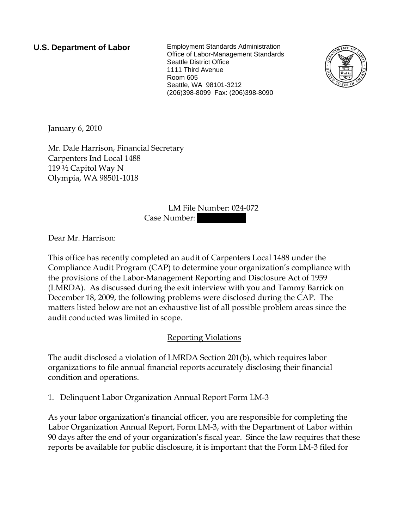**U.S. Department of Labor** Employment Standards Administration Office of Labor-Management Standards Seattle District Office 1111 Third Avenue Room 605 Seattle, WA 98101-3212 (206)398-8099 Fax: (206)398-8090



January 6, 2010

Mr. Dale Harrison, Financial Secretary Carpenters Ind Local 1488 119  $\frac{1}{2}$  Capitol Way N Olympia, WA 98501-1018

## LM File Number: 024-072 Case Number:

Dear Mr. Harrison:

This office has recently completed an audit of Carpenters Local 1488 under the Compliance Audit Program (CAP) to determine your organization's compliance with the provisions of the Labor-Management Reporting and Disclosure Act of 1959 (LMRDA). As discussed during the exit interview with you and Tammy Barrick on December 18, 2009, the following problems were disclosed during the CAP. The matters listed below are not an exhaustive list of all possible problem areas since the audit conducted was limited in scope.

## Reporting Violations

The audit disclosed a violation of LMRDA Section 201(b), which requires labor organizations to file annual financial reports accurately disclosing their financial condition and operations.

1. Delinquent Labor Organization Annual Report Form LM-3

As your labor organization's financial officer, you are responsible for completing the Labor Organization Annual Report, Form LM-3, with the Department of Labor within 90 days after the end of your organization's fiscal year. Since the law requires that these reports be available for public disclosure, it is important that the Form LM-3 filed for